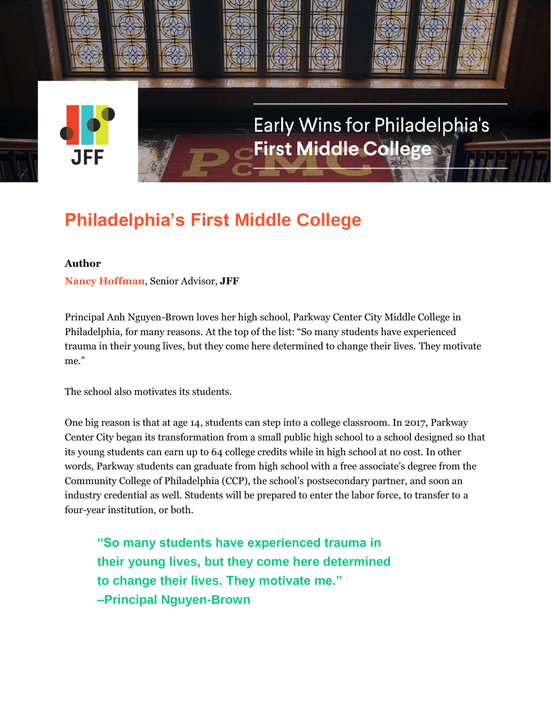

# Early Wins for Philadelphia's **First Middle College &**

## **Philadelphia's First Middle College**

#### **Author**

**Nancy Hoffman**, Senior Advisor, **JFF**

Principal Anh Nguyen-Brown loves her high school, Parkway Center City Middle College in Philadelphia, for many reasons. At the top of the list: "So many students have experienced trauma in their young lives, but they come here determined to change their lives. They motivate me."

The school also motivates its students.

One big reason is that at age 14, students can step into a college classroom. In 2017, Parkway Center City began its transformation from a small public high school to a school designed so that its young students can earn up to 64 college credits while in high school at no cost. In other words, Parkway students can graduate from high school with a free associate's degree from the Community College of Philadelphia (CCP), the school's postsecondary partner, and soon an industry credential as well. Students will be prepared to enter the labor force, to transfer to a four-year institution, or both.

**"So many students have experienced trauma in their young lives, but they come here determined to change their lives. They motivate me." –Principal Nguyen-Brown**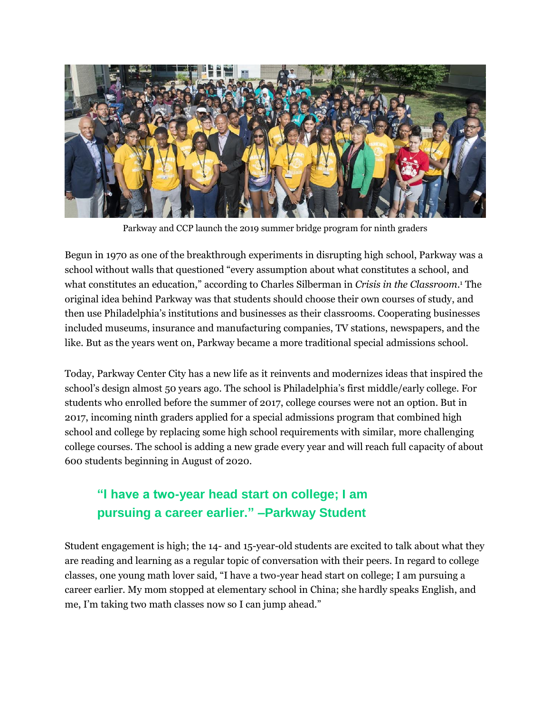

Parkway and CCP launch the 2019 summer bridge program for ninth graders

Begun in 1970 as one of the breakthrough experiments in disrupting high school, Parkway was a school without walls that questioned "every assumption about what constitutes a school, and what constitutes an education," according to Charles Silberman in *Crisis in the Classroom*. <sup>1</sup> The original idea behind Parkway was that students should choose their own courses of study, and then use Philadelphia's institutions and businesses as their classrooms. Cooperating businesses included museums, insurance and manufacturing companies, TV stations, newspapers, and the like. But as the years went on, Parkway became a more traditional special admissions school.

Today, Parkway Center City has a new life as it reinvents and modernizes ideas that inspired the school's design almost 50 years ago. The school is Philadelphia's first middle/early college. For students who enrolled before the summer of 2017, college courses were not an option. But in 2017, incoming ninth graders applied for a special admissions program that combined high school and college by replacing some high school requirements with similar, more challenging college courses. The school is adding a new grade every year and will reach full capacity of about 600 students beginning in August of 2020.

### **"I have a two-year head start on college; I am pursuing a career earlier." –Parkway Student**

Student engagement is high; the 14- and 15-year-old students are excited to talk about what they are reading and learning as a regular topic of conversation with their peers. In regard to college classes, one young math lover said, "I have a two-year head start on college; I am pursuing a career earlier. My mom stopped at elementary school in China; she hardly speaks English, and me, I'm taking two math classes now so I can jump ahead."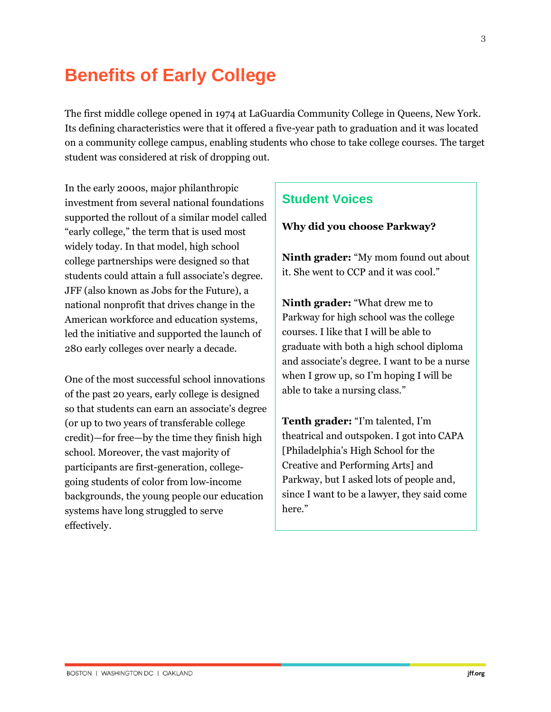### **Benefits of Early College**

The first middle college opened in 1974 at LaGuardia Community College in Queens, New York. Its defining characteristics were that it offered a five-year path to graduation and it was located on a community college campus, enabling students who chose to take college courses. The target student was considered at risk of dropping out.

In the early 2000s, major philanthropic investment from several national foundations supported the rollout of a similar model called "early college," the term that is used most widely today. In that model, high school college partnerships were designed so that students could attain a full associate's degree. JFF (also known as Jobs for the Future), a national nonprofit that drives change in the American workforce and education systems, led the initiative and supported the launch of 280 early colleges over nearly a decade.

One of the most successful school innovations of the past 20 years, early college is designed so that students can earn an associate's degree (or up to two years of transferable college credit)—for free—by the time they finish high school. Moreover, the vast majority of participants are first-generation, collegegoing students of color from low-income backgrounds, the young people our education systems have long struggled to serve effectively.

#### **Student Voices**

**Why did you choose Parkway?**

**Ninth grader:** "My mom found out about it. She went to CCP and it was cool."

**Ninth grader:** "What drew me to Parkway for high school was the college courses. I like that I will be able to graduate with both a high school diploma and associate's degree. I want to be a nurse when I grow up, so I'm hoping I will be able to take a nursing class."

**Tenth grader:** "I'm talented, I'm theatrical and outspoken. I got into CAPA [Philadelphia's High School for the Creative and Performing Arts] and Parkway, but I asked lots of people and, since I want to be a lawyer, they said come here."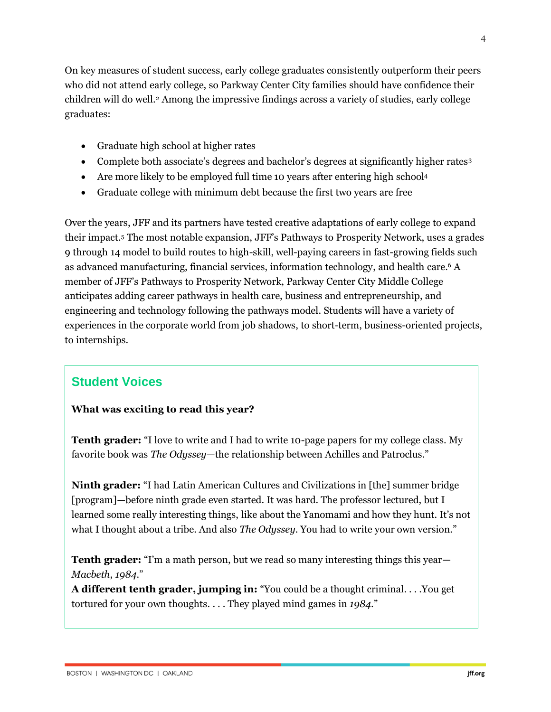On key measures of student success, early college graduates consistently outperform their peers who did not attend early college, so Parkway Center City families should have confidence their children will do well.<sup>2</sup> Among the impressive findings across a variety of studies, early college graduates:

- Graduate high school at higher rates
- Complete both associate's degrees and bachelor's degrees at significantly higher rates<sup>3</sup>
- Are more likely to be employed full time 10 years after entering high school<sup>4</sup>
- Graduate college with minimum debt because the first two years are free

Over the years, JFF and its partners have tested creative adaptations of early college to expand their impact.<sup>5</sup> The most notable expansion, JFF's Pathways to Prosperity Network, uses a grades 9 through 14 model to build routes to high-skill, well-paying careers in fast-growing fields such as advanced manufacturing, financial services, information technology, and health care.<sup>6</sup> A member of JFF's Pathways to Prosperity Network, Parkway Center City Middle College anticipates adding career pathways in health care, business and entrepreneurship, and engineering and technology following the pathways model. Students will have a variety of experiences in the corporate world from job shadows, to short-term, business-oriented projects, to internships.

### **Student Voices**

#### **What was exciting to read this year?**

**Tenth grader:** "I love to write and I had to write 10-page papers for my college class. My favorite book was *The Odyssey*—the relationship between Achilles and Patroclus."

**Ninth grader:** "I had Latin American Cultures and Civilizations in [the] summer bridge [program]—before ninth grade even started. It was hard. The professor lectured, but I learned some really interesting things, like about the Yanomami and how they hunt. It's not what I thought about a tribe. And also *The Odyssey*. You had to write your own version."

**Tenth grader:** "I'm a math person, but we read so many interesting things this year— *Macbeth*, *1984*."

**A different tenth grader, jumping in:** "You could be a thought criminal. . . .You get tortured for your own thoughts. . . . They played mind games in *1984*."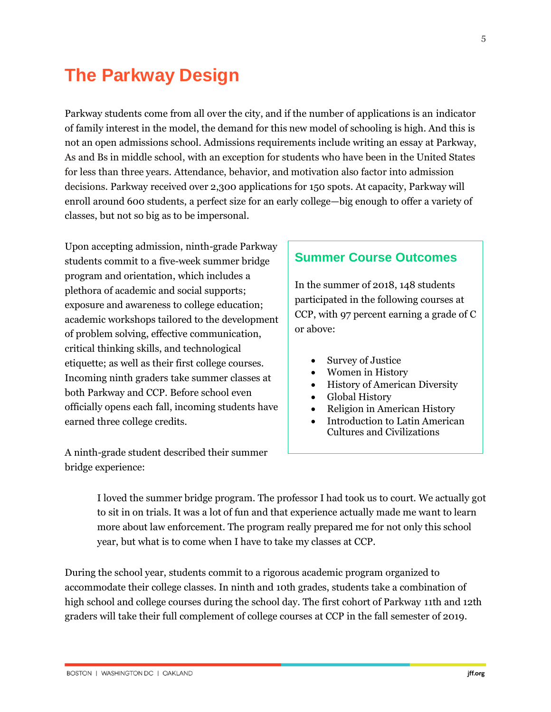## **The Parkway Design**

Parkway students come from all over the city, and if the number of applications is an indicator of family interest in the model, the demand for this new model of schooling is high. And this is not an open admissions school. Admissions requirements include writing an essay at Parkway, As and Bs in middle school, with an exception for students who have been in the United States for less than three years. Attendance, behavior, and motivation also factor into admission decisions. Parkway received over 2,300 applications for 150 spots. At capacity, Parkway will enroll around 600 students, a perfect size for an early college—big enough to offer a variety of classes, but not so big as to be impersonal.

Upon accepting admission, ninth-grade Parkway students commit to a five-week summer bridge program and orientation, which includes a plethora of academic and social supports; exposure and awareness to college education; academic workshops tailored to the development of problem solving, effective communication, critical thinking skills, and technological etiquette; as well as their first college courses. Incoming ninth graders take summer classes at both Parkway and CCP. Before school even officially opens each fall, incoming students have earned three college credits.

A ninth-grade student described their summer bridge experience:

#### **Summer Course Outcomes**

In the summer of 2018, 148 students participated in the following courses at CCP, with 97 percent earning a grade of C or above:

- Survey of Justice
- Women in History
- History of American Diversity
- Global History
- Religion in American History
- Introduction to Latin American Cultures and Civilizations

I loved the summer bridge program. The professor I had took us to court. We actually got to sit in on trials. It was a lot of fun and that experience actually made me want to learn more about law enforcement. The program really prepared me for not only this school year, but what is to come when I have to take my classes at CCP.

During the school year, students commit to a rigorous academic program organized to accommodate their college classes. In ninth and 10th grades, students take a combination of high school and college courses during the school day. The first cohort of Parkway 11th and 12th graders will take their full complement of college courses at CCP in the fall semester of 2019.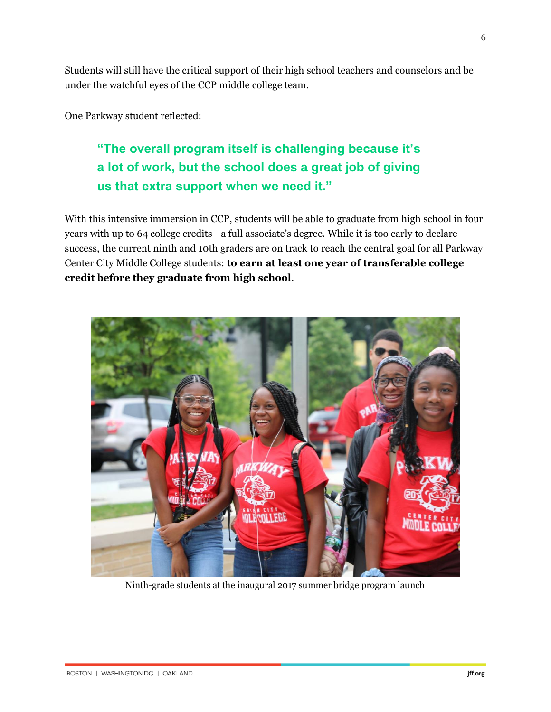Students will still have the critical support of their high school teachers and counselors and be under the watchful eyes of the CCP middle college team.

One Parkway student reflected:

### **"The overall program itself is challenging because it's a lot of work, but the school does a great job of giving us that extra support when we need it."**

With this intensive immersion in CCP, students will be able to graduate from high school in four years with up to 64 college credits—a full associate's degree. While it is too early to declare success, the current ninth and 10th graders are on track to reach the central goal for all Parkway Center City Middle College students: **to earn at least one year of transferable college credit before they graduate from high school**.



Ninth-grade students at the inaugural 2017 summer bridge program launch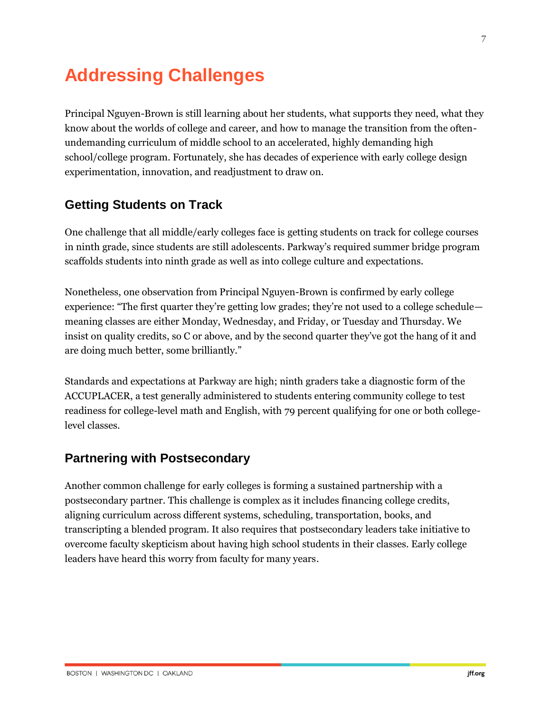## **Addressing Challenges**

Principal Nguyen-Brown is still learning about her students, what supports they need, what they know about the worlds of college and career, and how to manage the transition from the oftenundemanding curriculum of middle school to an accelerated, highly demanding high school/college program. Fortunately, she has decades of experience with early college design experimentation, innovation, and readjustment to draw on.

#### **Getting Students on Track**

One challenge that all middle/early colleges face is getting students on track for college courses in ninth grade, since students are still adolescents. Parkway's required summer bridge program scaffolds students into ninth grade as well as into college culture and expectations.

Nonetheless, one observation from Principal Nguyen-Brown is confirmed by early college experience: "The first quarter they're getting low grades; they're not used to a college schedule meaning classes are either Monday, Wednesday, and Friday, or Tuesday and Thursday. We insist on quality credits, so C or above, and by the second quarter they've got the hang of it and are doing much better, some brilliantly."

Standards and expectations at Parkway are high; ninth graders take a diagnostic form of the ACCUPLACER, a test generally administered to students entering community college to test readiness for college-level math and English, with 79 percent qualifying for one or both collegelevel classes.

#### **Partnering with Postsecondary**

Another common challenge for early colleges is forming a sustained partnership with a postsecondary partner. This challenge is complex as it includes financing college credits, aligning curriculum across different systems, scheduling, transportation, books, and transcripting a blended program. It also requires that postsecondary leaders take initiative to overcome faculty skepticism about having high school students in their classes. Early college leaders have heard this worry from faculty for many years.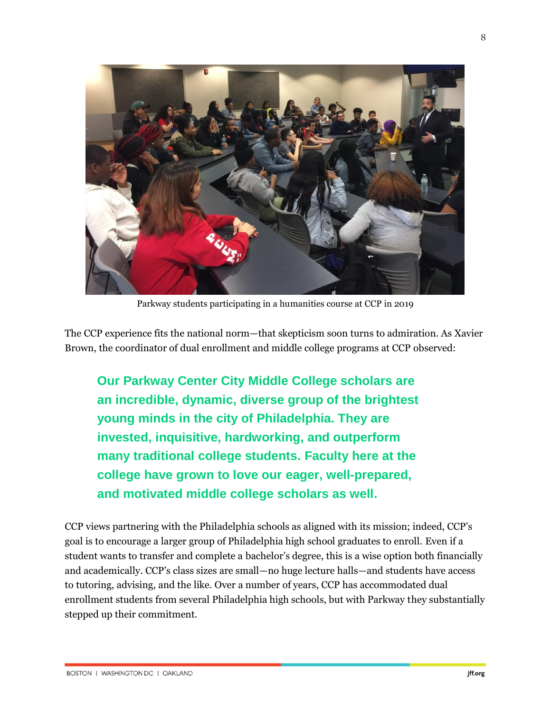

Parkway students participating in a humanities course at CCP in 2019

The CCP experience fits the national norm—that skepticism soon turns to admiration. As Xavier Brown, the coordinator of dual enrollment and middle college programs at CCP observed:

**Our Parkway Center City Middle College scholars are an incredible, dynamic, diverse group of the brightest young minds in the city of Philadelphia. They are invested, inquisitive, hardworking, and outperform many traditional college students. Faculty here at the college have grown to love our eager, well-prepared, and motivated middle college scholars as well.**

CCP views partnering with the Philadelphia schools as aligned with its mission; indeed, CCP's goal is to encourage a larger group of Philadelphia high school graduates to enroll. Even if a student wants to transfer and complete a bachelor's degree, this is a wise option both financially and academically. CCP's class sizes are small—no huge lecture halls—and students have access to tutoring, advising, and the like. Over a number of years, CCP has accommodated dual enrollment students from several Philadelphia high schools, but with Parkway they substantially stepped up their commitment.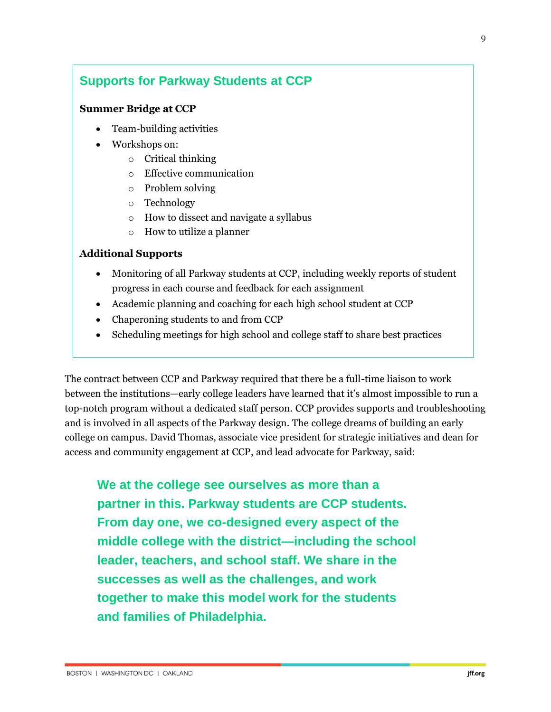#### **Supports for Parkway Students at CCP**

#### **Summer Bridge at CCP**

- Team-building activities
- Workshops on:
	- o Critical thinking
	- o Effective communication
	- o Problem solving
	- o Technology
	- o How to dissect and navigate a syllabus
	- o How to utilize a planner

#### **Additional Supports**

- Monitoring of all Parkway students at CCP, including weekly reports of student progress in each course and feedback for each assignment
- Academic planning and coaching for each high school student at CCP
- Chaperoning students to and from CCP
- Scheduling meetings for high school and college staff to share best practices

The contract between CCP and Parkway required that there be a full-time liaison to work between the institutions—early college leaders have learned that it's almost impossible to run a top-notch program without a dedicated staff person. CCP provides supports and troubleshooting and is involved in all aspects of the Parkway design. The college dreams of building an early college on campus. David Thomas, associate vice president for strategic initiatives and dean for access and community engagement at CCP, and lead advocate for Parkway, said:

**We at the college see ourselves as more than a partner in this. Parkway students are CCP students. From day one, we co-designed every aspect of the middle college with the district—including the school leader, teachers, and school staff. We share in the successes as well as the challenges, and work together to make this model work for the students and families of Philadelphia.**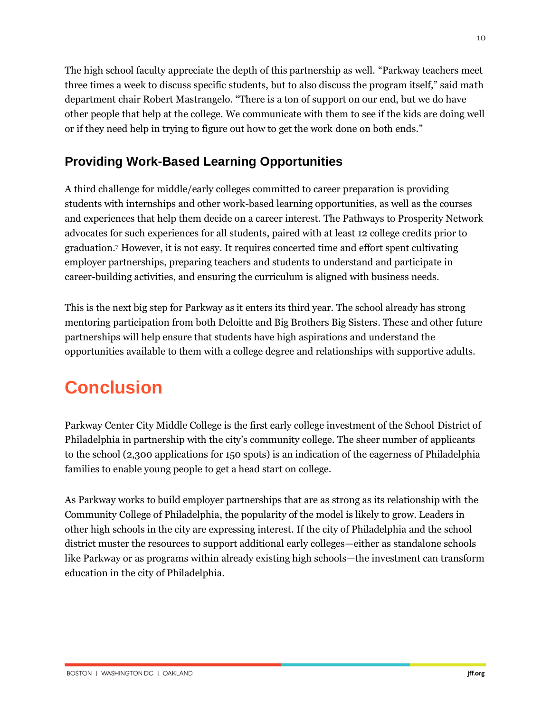The high school faculty appreciate the depth of this partnership as well. "Parkway teachers meet three times a week to discuss specific students, but to also discuss the program itself," said math department chair Robert Mastrangelo. "There is a ton of support on our end, but we do have other people that help at the college. We communicate with them to see if the kids are doing well or if they need help in trying to figure out how to get the work done on both ends."

#### **Providing Work-Based Learning Opportunities**

A third challenge for middle/early colleges committed to career preparation is providing students with internships and other work-based learning opportunities, as well as the courses and experiences that help them decide on a career interest. The Pathways to Prosperity Network advocates for such experiences for all students, paired with at least 12 college credits prior to graduation. <sup>7</sup> However, it is not easy. It requires concerted time and effort spent cultivating employer partnerships, preparing teachers and students to understand and participate in career-building activities, and ensuring the curriculum is aligned with business needs.

This is the next big step for Parkway as it enters its third year. The school already has strong mentoring participation from both Deloitte and Big Brothers Big Sisters. These and other future partnerships will help ensure that students have high aspirations and understand the opportunities available to them with a college degree and relationships with supportive adults.

## **Conclusion**

Parkway Center City Middle College is the first early college investment of the School District of Philadelphia in partnership with the city's community college. The sheer number of applicants to the school (2,300 applications for 150 spots) is an indication of the eagerness of Philadelphia families to enable young people to get a head start on college.

As Parkway works to build employer partnerships that are as strong as its relationship with the Community College of Philadelphia, the popularity of the model is likely to grow. Leaders in other high schools in the city are expressing interest. If the city of Philadelphia and the school district muster the resources to support additional early colleges—either as standalone schools like Parkway or as programs within already existing high schools—the investment can transform education in the city of Philadelphia.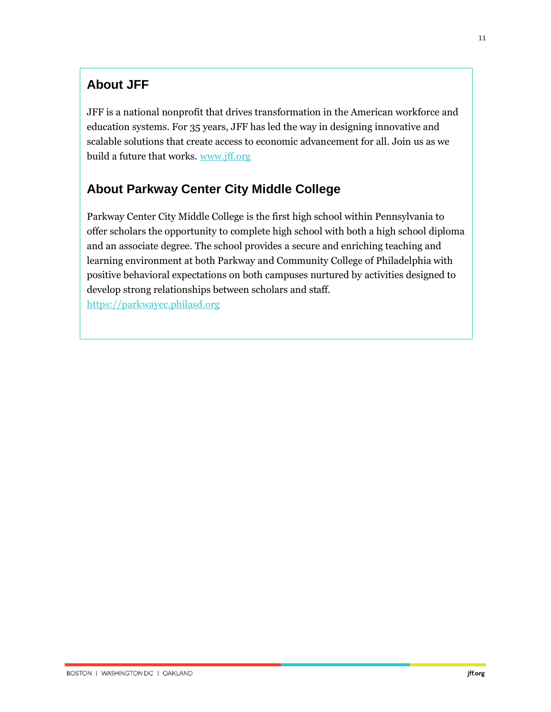#### **About JFF**

JFF is a national nonprofit that drives transformation in the American workforce and education systems. For 35 years, JFF has led the way in designing innovative and scalable solutions that create access to economic advancement for all. Join us as we build a future that works. [www.jff.org](http://www.jff.org/)

### **About Parkway Center City Middle College**

Parkway Center City Middle College is the first high school within Pennsylvania to offer scholars the opportunity to complete high school with both a high school diploma and an associate degree. The school provides a secure and enriching teaching and learning environment at both Parkway and Community College of Philadelphia with positive behavioral expectations on both campuses nurtured by activities designed to develop strong relationships between scholars and staff. https://parkwaycc.philasd.org